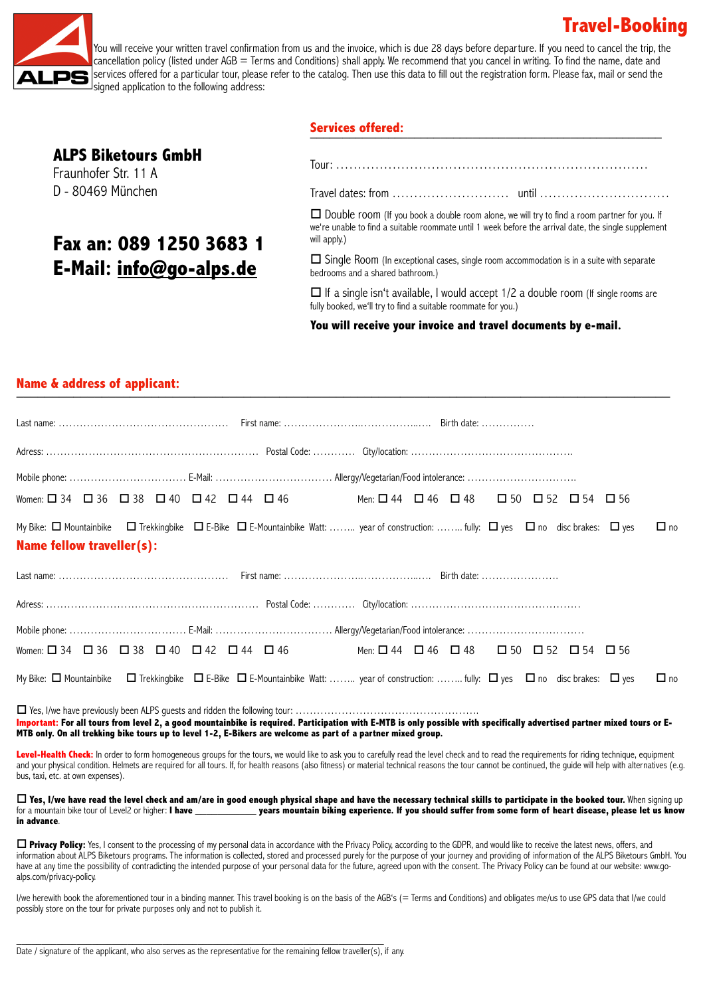## **Travel-Booking**



You will receive your written travel confirmation from us and the invoice, which is due 28 days before departure. If you need to cancel the trip, the cancellation policy (listed under AGB = Terms and Conditions) shall apply. We recommend that you cancel in writing. To find the name, date and services offered for a particular tour, please refer to the catalog. Then use this data to fill out the registration form. Please fax, mail or send the signed application to the following address:

### **ALPS Biketours GmbH**

Fraunhofer Str. 11 A D - 80469 München

# **Fax an: 089 1250 3683 1 E-Mail: [info@go-alps.de](mailto:info@go-alps.de)**

#### **Services offered:**  \_\_\_\_\_\_\_\_\_\_\_\_\_\_\_\_\_\_\_\_\_\_\_\_\_\_\_\_\_\_\_\_\_\_\_\_\_\_\_\_\_\_\_\_\_\_\_\_\_\_\_\_\_\_

Tour: ………………………………………………………………

Travel dates: from ……………………… until …………………………

 $\Box$  Double room (If you book a double room alone, we will try to find a room partner for you. If we're unable to find a suitable roommate until 1 week before the arrival date, the single supplement will apply.)

 $\Box$  Single Room (In exceptional cases, single room accommodation is in a suite with separate bedrooms and a shared bathroom.)

 $\Box$  If a single isn't available, I would accept 1/2 a double room (If single rooms are fully booked, we'll try to find a suitable roommate for you.)

**You will receive your invoice and travel documents by e-mail.** 

#### **Name & address of applicant:**  \_\_\_\_\_\_\_\_\_\_\_\_\_\_\_\_\_\_\_\_\_\_\_\_\_\_\_\_\_\_\_\_\_\_\_\_\_\_\_\_\_\_\_\_\_\_\_\_\_\_\_\_\_\_\_\_\_\_\_\_\_\_\_\_\_\_\_\_\_\_\_\_\_\_\_\_\_\_\_\_\_\_\_\_\_\_\_\_\_\_\_\_

| Women: $\Box$ 34 $\Box$ 36 $\Box$ 38 $\Box$ 40 $\Box$ 42 $\Box$ 44 $\Box$ 46                                                                                                                                                                                                             |  | Men: $\Box$ 44 $\Box$ 46 $\Box$ 48 | $\square$ 50 $\square$ 52 $\square$ 54<br>$\square$ 56 |           |
|------------------------------------------------------------------------------------------------------------------------------------------------------------------------------------------------------------------------------------------------------------------------------------------|--|------------------------------------|--------------------------------------------------------|-----------|
| My Bike: ロ Mountainbike  ロ Trekkingbike ロ E-Bike ロ E-Mountainbike Watt: ……… year of construction: ……… fully: ロ yes  ロ no disc brakes:  ロ yes<br>Name fellow traveller(s):                                                                                                                |  |                                    |                                                        | $\Box$ no |
|                                                                                                                                                                                                                                                                                          |  |                                    |                                                        |           |
|                                                                                                                                                                                                                                                                                          |  |                                    |                                                        |           |
|                                                                                                                                                                                                                                                                                          |  |                                    |                                                        |           |
| Women: $\Box$ 34 $\Box$ 36 $\Box$ 38 $\Box$ 40 $\Box$ 42 $\Box$ 44 $\Box$ 46                                                                                                                                                                                                             |  | Men: $\Box$ 44 $\Box$ 46 $\Box$ 48 | $\Box$ 50 $\Box$ 52 $\Box$ 54<br>$\square$ 56          |           |
| My Bike: ロ Mountainbike  ロ Trekkingbike ロ E-Bike ロ E-Mountainbike Watt: ……… year of construction: ……… fully: ロ yes  ロ no disc brakes:  ロ yes                                                                                                                                             |  |                                    |                                                        | $\Box$ no |
| Important: For all tours from level 2, a good mountainbike is required. Participation with E-MTB is only possible with specifically advertised partner mixed tours or E-<br>MTB only. On all trekking bike tours up to level 1-2, E-Bikers are welcome as part of a partner mixed group. |  |                                    |                                                        |           |

Level-Health Check: In order to form homogeneous groups for the tours, we would like to ask you to carefully read the level check and to read the requirements for riding technique, equipment and your physical condition. Helmets are required for all tours. If, for health reasons (also fitness) or material technical reasons the tour cannot be continued, the quide will help with alternatives (e.g. bus, taxi, etc. at own expenses).

□ Yes, I/we have read the level check and am/are in good enough physical shape and have the necessary technical skills to participate in the booked tour. When signing up<br>**of a mountain bike tour of Level2 or higher: I hav** <sub>\_\_</sub> years mountain biking experience. If you should suffer from some form of heart disease, please let us know **in advance**.

□ Privacy Policy: Yes, I consent to the processing of my personal data in accordance with the Privacy Policy, according to the GDPR, and would like to receive the latest news, offers, and information about ALPS Biketours programs. The information is collected, stored and processed purely for the purpose of your journey and providing of information of the ALPS Biketours GmbH. You have at any time the possibility of contradicting the intended purpose of your personal data for the future, agreed upon with the consent. The Privacy Policy can be found at our website: www.goalps.com/privacy-policy.

I/we herewith book the aforementioned tour in a binding manner. This travel booking is on the basis of the AGB's (= Terms and Conditions) and obligates me/us to use GPS data that I/we could possibly store on the tour for private purposes only and not to publish it.